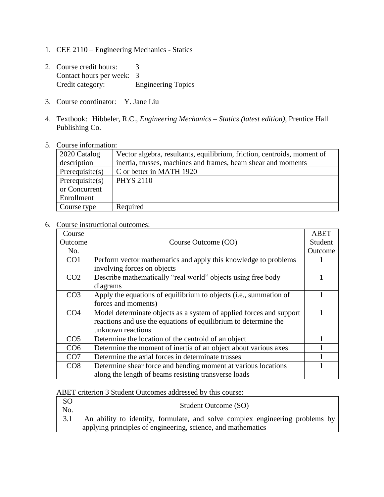- 1. CEE 2110 Engineering Mechanics Statics
- 2. Course credit hours: 3 Contact hours per week: 3<br>Credit category: E Engineering Topics
- 3. Course coordinator: Y. Jane Liu
- 4. Textbook: Hibbeler, R.C., *Engineering Mechanics – Statics (latest edition)*, Prentice Hall Publishing Co.

## 5. Course information:

| 2020 Catalog       | Vector algebra, resultants, equilibrium, friction, centroids, moment of |
|--------------------|-------------------------------------------------------------------------|
| description        | inertia, trusses, machines and frames, beam shear and moments           |
| Prerequires(s)     | C or better in MATH 1920                                                |
| Prerequisite $(s)$ | <b>PHYS 2110</b>                                                        |
| or Concurrent      |                                                                         |
| Enrollment         |                                                                         |
| Course type        | Required                                                                |
|                    |                                                                         |

## 6. Course instructional outcomes:

| Course          |                                                                     | <b>ABET</b> |
|-----------------|---------------------------------------------------------------------|-------------|
| Outcome         | Course Outcome (CO)                                                 | Student     |
| No.             |                                                                     | Outcome     |
| CO <sub>1</sub> | Perform vector mathematics and apply this knowledge to problems     |             |
|                 | involving forces on objects                                         |             |
| CO <sub>2</sub> | Describe mathematically "real world" objects using free body        |             |
|                 | diagrams                                                            |             |
| CO <sub>3</sub> | Apply the equations of equilibrium to objects (i.e., summation of   |             |
|                 | forces and moments)                                                 |             |
| CO <sub>4</sub> | Model determinate objects as a system of applied forces and support |             |
|                 | reactions and use the equations of equilibrium to determine the     |             |
|                 | unknown reactions                                                   |             |
| CO <sub>5</sub> | Determine the location of the centroid of an object                 |             |
| CO <sub>6</sub> | Determine the moment of inertia of an object about various axes     |             |
| CO7             | Determine the axial forces in determinate trusses                   |             |
| CO8             | Determine shear force and bending moment at various locations       |             |
|                 | along the length of beams resisting transverse loads                |             |

## ABET criterion 3 Student Outcomes addressed by this course:

| <sub>SO</sub> |                                                                                    |
|---------------|------------------------------------------------------------------------------------|
| No.           | Student Outcome (SO)                                                               |
|               | 3.1   An ability to identify, formulate, and solve complex engineering problems by |
|               | applying principles of engineering, science, and mathematics                       |